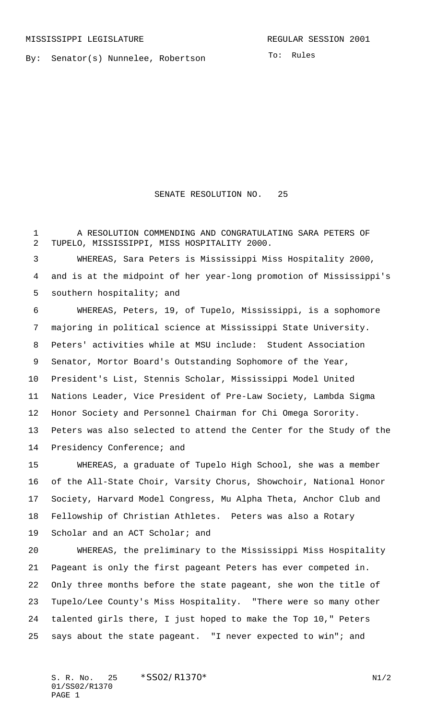By: Senator(s) Nunnelee, Robertson

To: Rules

## SENATE RESOLUTION NO. 25

 A RESOLUTION COMMENDING AND CONGRATULATING SARA PETERS OF TUPELO, MISSISSIPPI, MISS HOSPITALITY 2000.

 WHEREAS, Sara Peters is Mississippi Miss Hospitality 2000, and is at the midpoint of her year-long promotion of Mississippi's 5 southern hospitality; and

 WHEREAS, Peters, 19, of Tupelo, Mississippi, is a sophomore majoring in political science at Mississippi State University. Peters' activities while at MSU include: Student Association Senator, Mortor Board's Outstanding Sophomore of the Year, President's List, Stennis Scholar, Mississippi Model United Nations Leader, Vice President of Pre-Law Society, Lambda Sigma Honor Society and Personnel Chairman for Chi Omega Sorority. Peters was also selected to attend the Center for the Study of the Presidency Conference; and

 WHEREAS, a graduate of Tupelo High School, she was a member of the All-State Choir, Varsity Chorus, Showchoir, National Honor Society, Harvard Model Congress, Mu Alpha Theta, Anchor Club and Fellowship of Christian Athletes. Peters was also a Rotary Scholar and an ACT Scholar; and

 WHEREAS, the preliminary to the Mississippi Miss Hospitality Pageant is only the first pageant Peters has ever competed in. Only three months before the state pageant, she won the title of Tupelo/Lee County's Miss Hospitality. "There were so many other talented girls there, I just hoped to make the Top 10," Peters says about the state pageant. "I never expected to win"; and